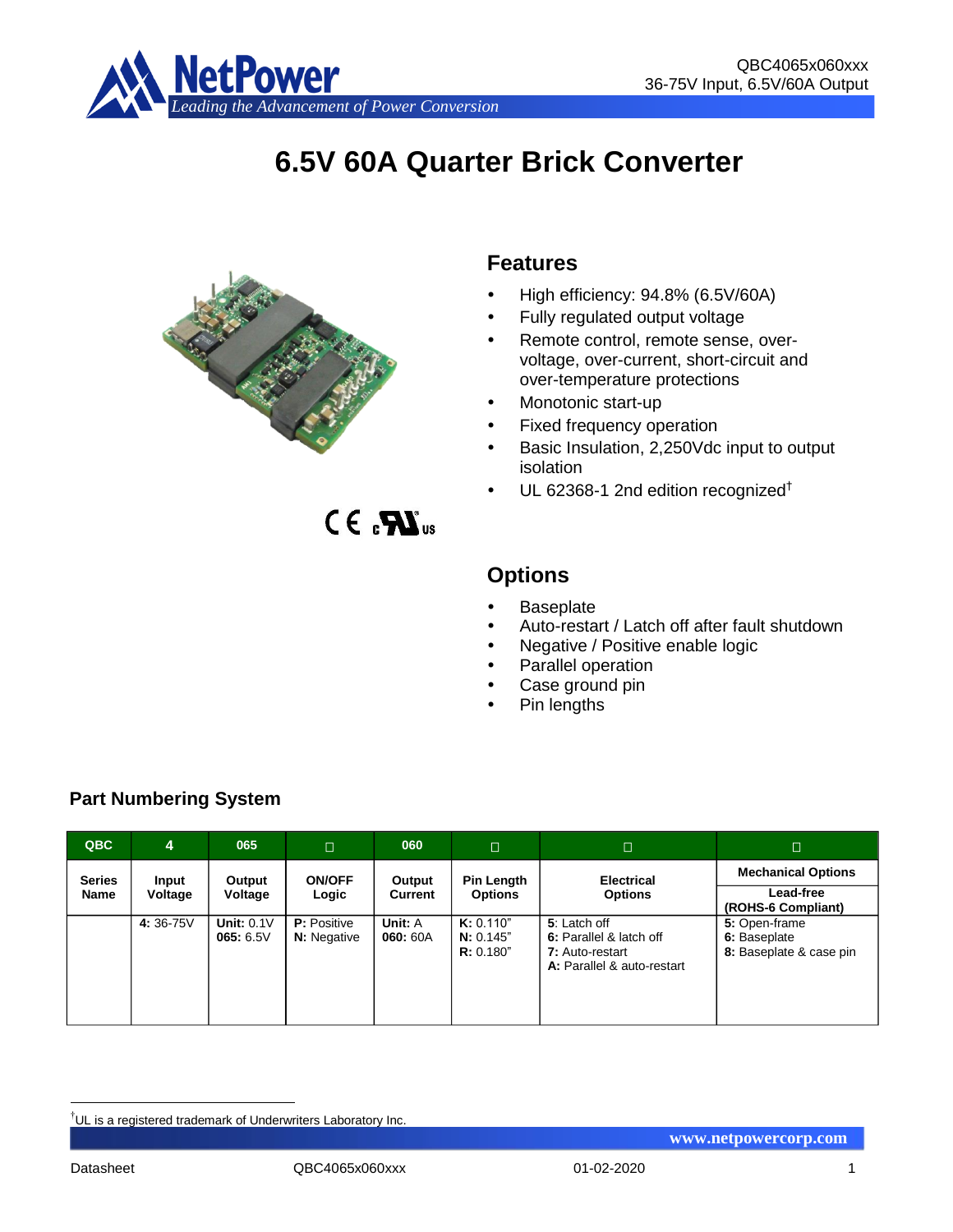

# **6.5V 60A Quarter Brick Converter**



# **Features**

- High efficiency: 94.8% (6.5V/60A)
- Fully regulated output voltage
- Remote control, remote sense, overvoltage, over-current, short-circuit and over-temperature protections
- Monotonic start-up
- Fixed frequency operation
- Basic Insulation, 2,250Vdc input to output isolation
- UL 62368-1 2nd edition recognized†

 $CE_{\alpha}$  $\mathbf{M}_{\text{us}}$ 

# **Options**

- **Baseplate**
- Auto-restart / Latch off after fault shutdown
- Negative / Positive enable logic
- Parallel operation
- Case ground pin
- Pin lengths

| QBC           | 4        | 065                       | $\Box$                                   | 060                 | П                                   | $\Box$                                                                                   | $\Box$                                                   |
|---------------|----------|---------------------------|------------------------------------------|---------------------|-------------------------------------|------------------------------------------------------------------------------------------|----------------------------------------------------------|
| <b>Series</b> | Input    | Output                    | <b>ON/OFF</b>                            | Output              | Pin Length                          | <b>Electrical</b>                                                                        | <b>Mechanical Options</b>                                |
| <b>Name</b>   | Voltage  | Voltage                   | Logic                                    | Current             | <b>Options</b>                      | <b>Options</b>                                                                           | Lead-free<br>(ROHS-6 Compliant)                          |
|               | 4:36-75V | Unit: $0.1V$<br>065: 6.5V | <b>P:</b> Positive<br><b>N:</b> Negative | Unit: A<br>060: 60A | K: 0.110"<br>N: 0.145"<br>R: 0.180" | 5: Latch off<br>6: Parallel & latch off<br>7: Auto-restart<br>A: Parallel & auto-restart | 5: Open-frame<br>6: Baseplate<br>8: Baseplate & case pin |

# **Part Numbering System**

<u>.</u>

<sup>†</sup>UL is a registered trademark of Underwriters Laboratory Inc.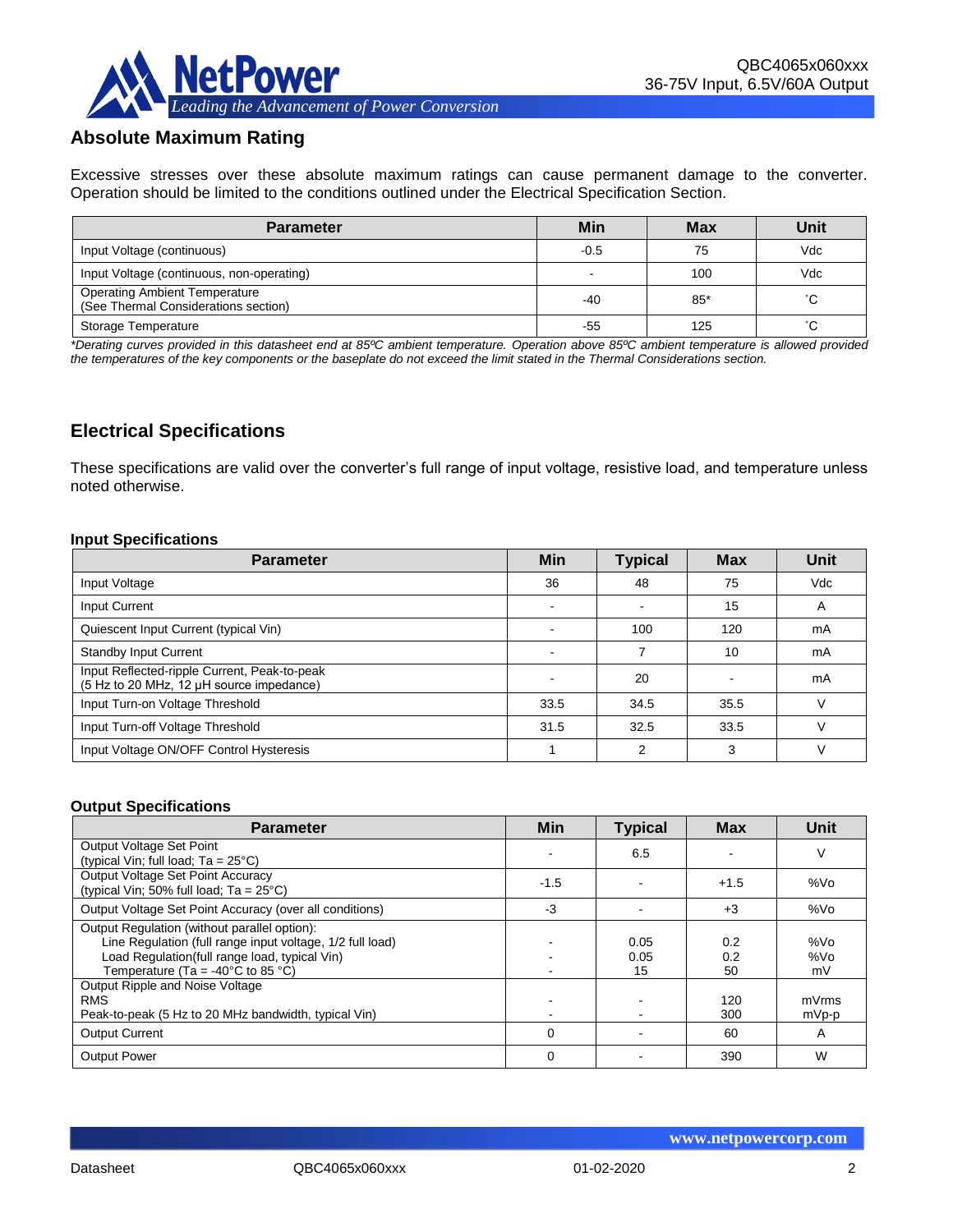

# **Absolute Maximum Rating**

Excessive stresses over these absolute maximum ratings can cause permanent damage to the converter. Operation should be limited to the conditions outlined under the Electrical Specification Section.

| <b>Parameter</b>                                                             | Min    | <b>Max</b> | Unit |
|------------------------------------------------------------------------------|--------|------------|------|
| Input Voltage (continuous)                                                   | $-0.5$ | 75         | Vdc  |
| Input Voltage (continuous, non-operating)                                    |        | 100        | Vdc  |
| <b>Operating Ambient Temperature</b><br>(See Thermal Considerations section) | $-40$  | 85*        | °С   |
| Storage Temperature                                                          | -55    | 125        | °C.  |

*\*Derating curves provided in this datasheet end at 85ºC ambient temperature. Operation above 85ºC ambient temperature is allowed provided the temperatures of the key components or the baseplate do not exceed the limit stated in the Thermal Considerations section.*

# **Electrical Specifications**

These specifications are valid over the converter's full range of input voltage, resistive load, and temperature unless noted otherwise.

#### **Input Specifications**

| <b>Parameter</b>                                                                         | Min  | <b>Typical</b> | <b>Max</b> | <b>Unit</b> |
|------------------------------------------------------------------------------------------|------|----------------|------------|-------------|
| Input Voltage                                                                            | 36   | 48             | 75         | Vdc         |
| Input Current                                                                            |      |                | 15         | A           |
| Quiescent Input Current (typical Vin)                                                    |      | 100            | 120        | mA          |
| <b>Standby Input Current</b>                                                             |      |                | 10         | mA          |
| Input Reflected-ripple Current, Peak-to-peak<br>(5 Hz to 20 MHz, 12 µH source impedance) |      | 20             |            | mA          |
| Input Turn-on Voltage Threshold                                                          | 33.5 | 34.5           | 35.5       |             |
| Input Turn-off Voltage Threshold                                                         | 31.5 | 32.5           | 33.5       |             |
| Input Voltage ON/OFF Control Hysteresis                                                  |      | າ              | 3          |             |

#### **Output Specifications**

| <b>Parameter</b>                                                                                                                                                                                                     | Min      | <b>Typical</b>     | <b>Max</b>       | <b>Unit</b>      |
|----------------------------------------------------------------------------------------------------------------------------------------------------------------------------------------------------------------------|----------|--------------------|------------------|------------------|
| Output Voltage Set Point<br>(typical Vin; full load; $Ta = 25^{\circ}C$ )                                                                                                                                            |          | 6.5                |                  | V                |
| Output Voltage Set Point Accuracy<br>(typical Vin; 50% full load; $Ta = 25^{\circ}C$ )                                                                                                                               | $-1.5$   |                    | $+1.5$           | %V <sub>O</sub>  |
| Output Voltage Set Point Accuracy (over all conditions)                                                                                                                                                              | $-3$     |                    | $+3$             | %Vo              |
| Output Regulation (without parallel option):<br>Line Regulation (full range input voltage, 1/2 full load)<br>Load Regulation(full range load, typical Vin)<br>Temperature (Ta = -40 $^{\circ}$ C to 85 $^{\circ}$ C) |          | 0.05<br>0.05<br>15 | 0.2<br>0.2<br>50 | %Vo<br>%Vo<br>mV |
| Output Ripple and Noise Voltage<br><b>RMS</b><br>Peak-to-peak (5 Hz to 20 MHz bandwidth, typical Vin)                                                                                                                |          |                    | 120<br>300       | mVrms<br>mVp-p   |
| <b>Output Current</b>                                                                                                                                                                                                | $\Omega$ |                    | 60               | A                |
| <b>Output Power</b>                                                                                                                                                                                                  | $\Omega$ |                    | 390              | W                |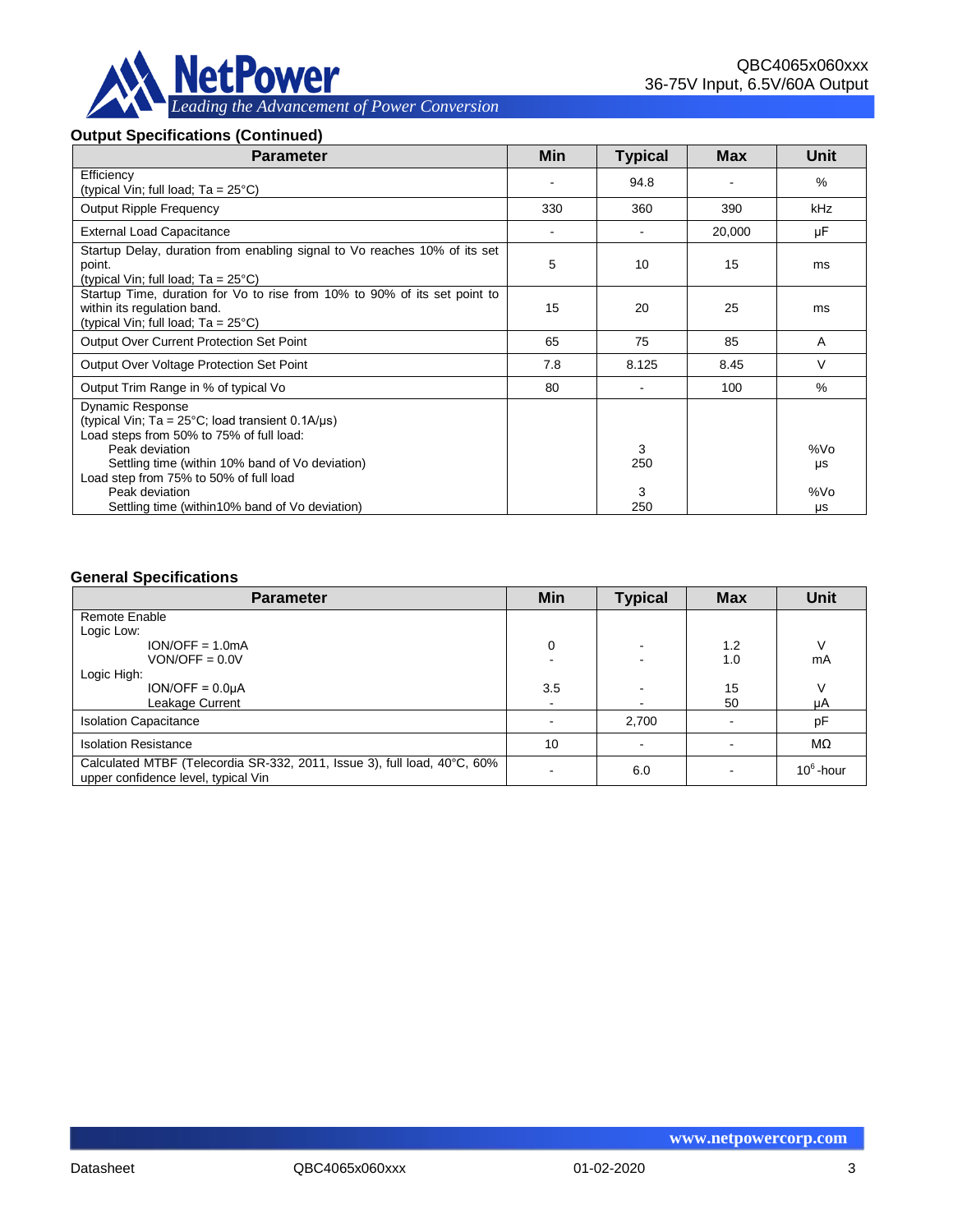

### **Output Specifications (Continued)**

| <b>Parameter</b>                                                                                                                                                                                                                                                          | Min | <b>Typical</b> | Max    | Unit             |
|---------------------------------------------------------------------------------------------------------------------------------------------------------------------------------------------------------------------------------------------------------------------------|-----|----------------|--------|------------------|
| Efficiency<br>(typical Vin; full load; $Ta = 25^{\circ}C$ )                                                                                                                                                                                                               |     | 94.8           |        | $\%$             |
| <b>Output Ripple Frequency</b>                                                                                                                                                                                                                                            |     | 360            | 390    | kHz              |
| <b>External Load Capacitance</b>                                                                                                                                                                                                                                          |     |                | 20,000 | μF               |
| Startup Delay, duration from enabling signal to Vo reaches 10% of its set<br>point.<br>(typical Vin; full load; $Ta = 25^{\circ}C$ )                                                                                                                                      | 5   | 10             | 15     | ms               |
| Startup Time, duration for Vo to rise from 10% to 90% of its set point to<br>within its regulation band.<br>(typical Vin; full load; $Ta = 25^{\circ}C$ )                                                                                                                 | 15  | 20             | 25     | ms               |
| <b>Output Over Current Protection Set Point</b>                                                                                                                                                                                                                           | 65  | 75             | 85     | A                |
| Output Over Voltage Protection Set Point                                                                                                                                                                                                                                  | 7.8 | 8.125          | 8.45   | V                |
| Output Trim Range in % of typical Vo                                                                                                                                                                                                                                      | 80  |                | 100    | $\%$             |
| <b>Dynamic Response</b><br>(typical Vin; $Ta = 25^{\circ}C$ ; load transient 0.1A/ $\mu s$ )<br>Load steps from 50% to 75% of full load:<br>Peak deviation<br>Settling time (within 10% band of Vo deviation)<br>Load step from 75% to 50% of full load<br>Peak deviation |     | 3<br>250<br>3  |        | %Vo<br>μs<br>%Vo |
| Settling time (within 10% band of Vo deviation)                                                                                                                                                                                                                           |     | 250            |        | μs               |

#### **General Specifications**

| <b>Parameter</b>                                                                                                | Min | <b>Typical</b> | <b>Max</b> | <b>Unit</b>  |
|-----------------------------------------------------------------------------------------------------------------|-----|----------------|------------|--------------|
| Remote Enable                                                                                                   |     |                |            |              |
| Logic Low:                                                                                                      |     |                |            |              |
| $ION/OFF = 1.0mA$                                                                                               | 0   |                | 1.2        |              |
| $VON/OFF = 0.0V$                                                                                                |     |                | 1.0        | mA           |
| Logic High:                                                                                                     |     |                |            |              |
| $ION/OFF = 0.0µA$                                                                                               | 3.5 |                | 15         |              |
| Leakage Current                                                                                                 |     |                | 50         | μA           |
| <b>Isolation Capacitance</b>                                                                                    |     | 2,700          |            | pF           |
| <b>Isolation Resistance</b>                                                                                     | 10  |                |            | MΩ           |
| Calculated MTBF (Telecordia SR-332, 2011, Issue 3), full load, 40°C, 60%<br>upper confidence level, typical Vin |     | 6.0            |            | $10^6$ -hour |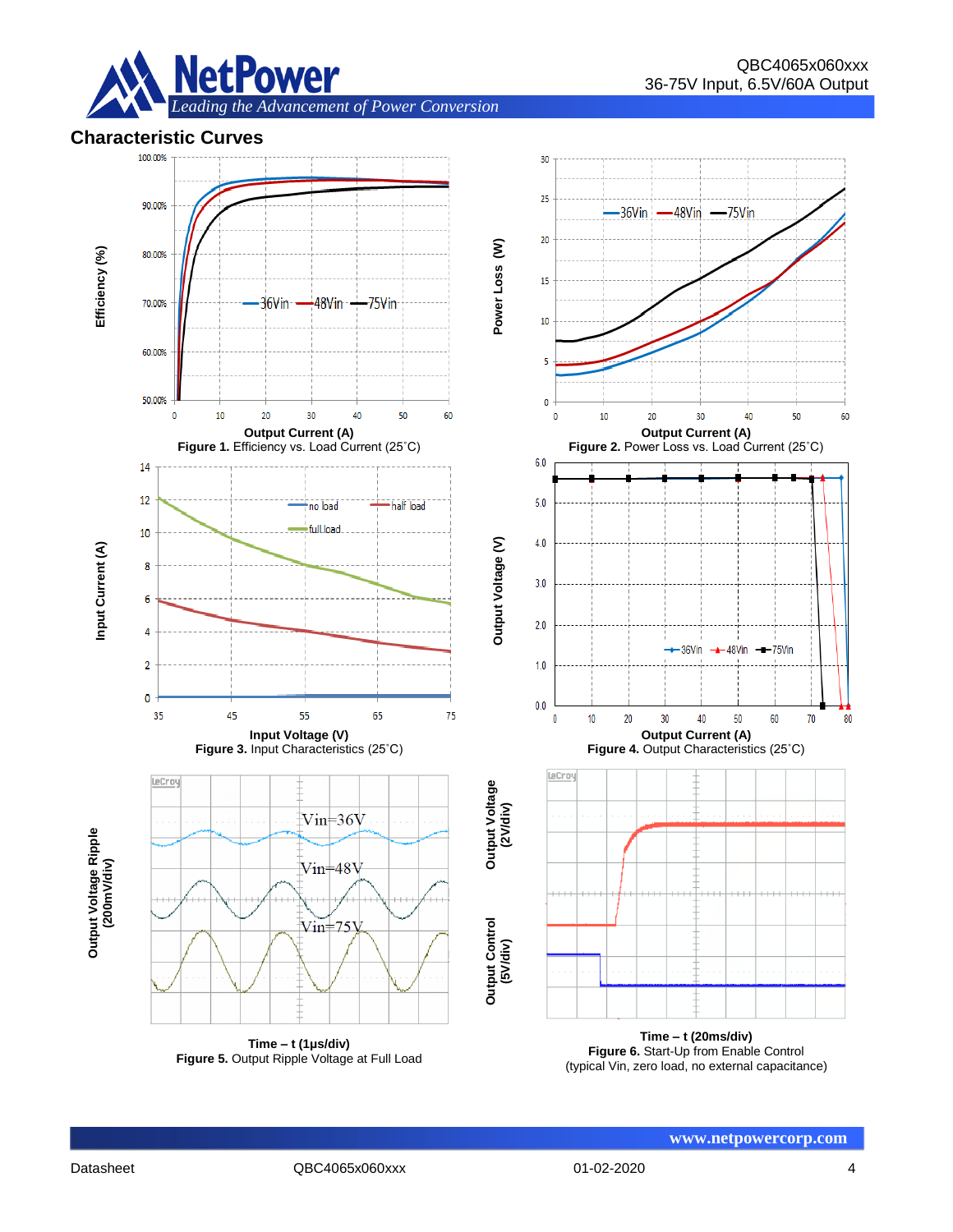

**Characteristic Curves**



**Figure 5.** Output Ripple Voltage at Full Load

**Figure 6.** Start-Up from Enable Control (typical Vin, zero load, no external capacitance)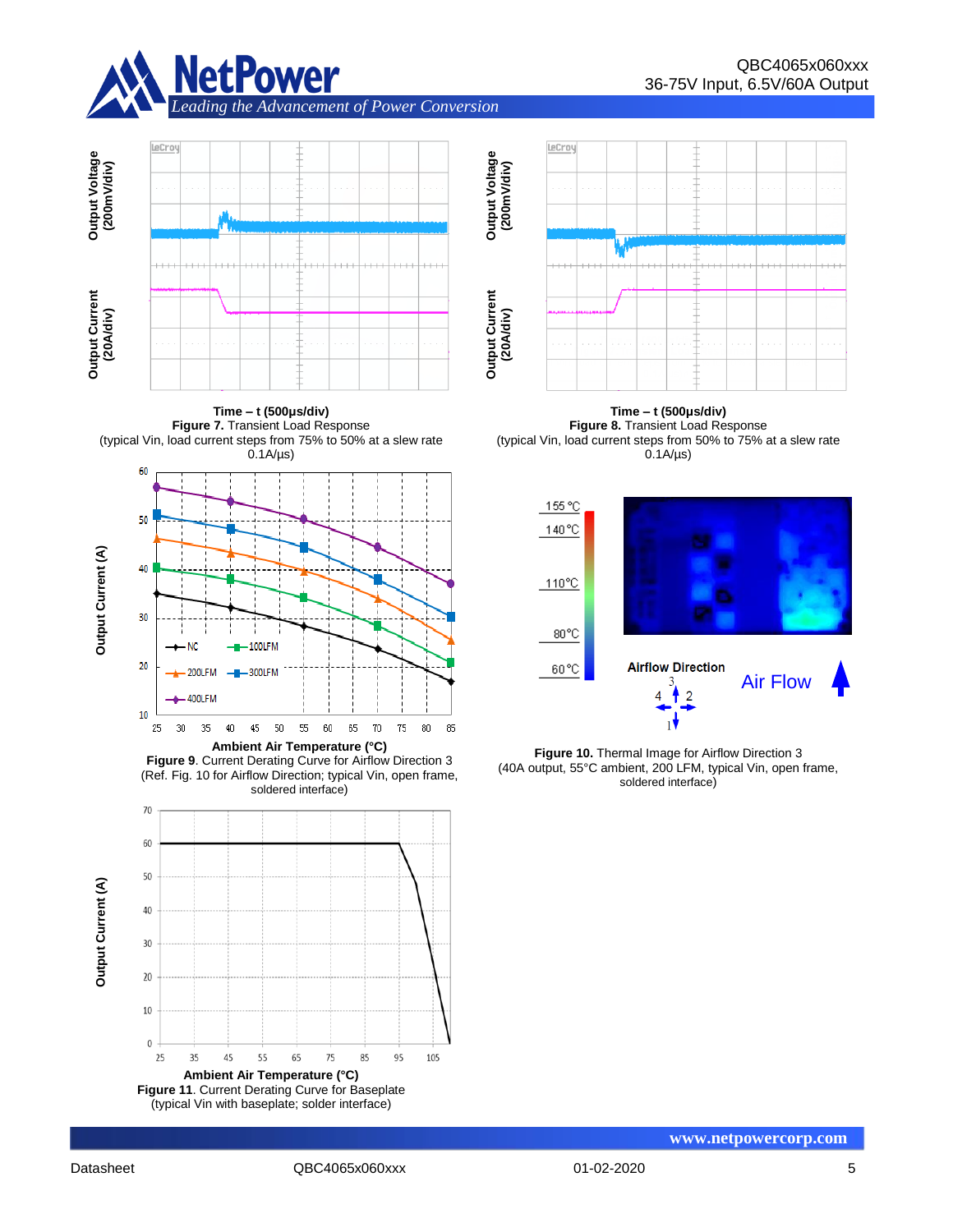



**Time – t (500μs/div) Figure 7.** Transient Load Response (typical Vin, load current steps from 75% to 50% at a slew rate



**Figure 9**. Current Derating Curve for Airflow Direction 3 (Ref. Fig. 10 for Airflow Direction; typical Vin, open frame, soldered interface)





**Time – t (500μs/div) Figure 8.** Transient Load Response (typical Vin, load current steps from 50% to 75% at a slew rate  $0.1A/\mu s$ 



**Figure 10.** Thermal Image for Airflow Direction 3 (40A output, 55°C ambient, 200 LFM, typical Vin, open frame, soldered interface)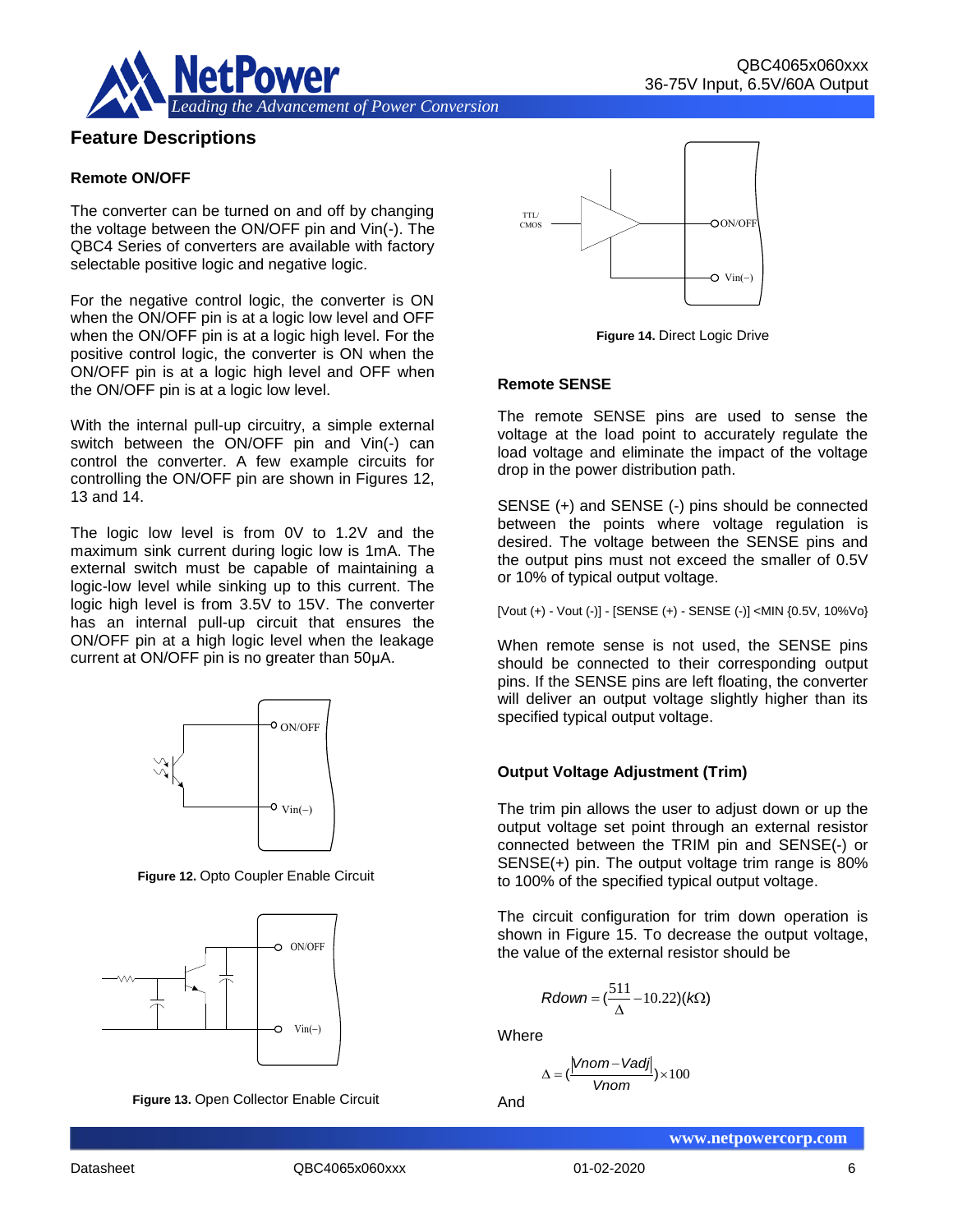

# **Feature Descriptions**

#### **Remote ON/OFF**

The converter can be turned on and off by changing the voltage between the ON/OFF pin and Vin(-). The QBC4 Series of converters are available with factory selectable positive logic and negative logic.

For the negative control logic, the converter is ON when the ON/OFF pin is at a logic low level and OFF when the ON/OFF pin is at a logic high level. For the positive control logic, the converter is ON when the ON/OFF pin is at a logic high level and OFF when the ON/OFF pin is at a logic low level.

With the internal pull-up circuitry, a simple external switch between the ON/OFF pin and Vin(-) can control the converter. A few example circuits for controlling the ON/OFF pin are shown in Figures 12, 13 and 14.

The logic low level is from 0V to 1.2V and the maximum sink current during logic low is 1mA. The external switch must be capable of maintaining a logic-low level while sinking up to this current. The logic high level is from 3.5V to 15V. The converter has an internal pull-up circuit that ensures the ON/OFF pin at a high logic level when the leakage current at ON/OFF pin is no greater than 50μA.



**Figure 12.** Opto Coupler Enable Circuit



**Figure 13.** Open Collector Enable Circuit



**Figure 14.** Direct Logic Drive

#### **Remote SENSE**

The remote SENSE pins are used to sense the voltage at the load point to accurately regulate the load voltage and eliminate the impact of the voltage drop in the power distribution path.

SENSE (+) and SENSE (-) pins should be connected between the points where voltage regulation is desired. The voltage between the SENSE pins and the output pins must not exceed the smaller of 0.5V or 10% of typical output voltage.

[Vout (+) - Vout (-)] - [SENSE (+) - SENSE (-)] <MIN {0.5V, 10%Vo}

When remote sense is not used, the SENSE pins should be connected to their corresponding output pins. If the SENSE pins are left floating, the converter will deliver an output voltage slightly higher than its specified typical output voltage.

#### **Output Voltage Adjustment (Trim)**

The trim pin allows the user to adjust down or up the output voltage set point through an external resistor connected between the TRIM pin and SENSE(-) or SENSE(+) pin. The output voltage trim range is 80% to 100% of the specified typical output voltage.

The circuit configuration for trim down operation is shown in Figure 15. To decrease the output voltage, the value of the external resistor should be

$$
Rdown = (\frac{511}{\Delta} - 10.22)(k\Omega)
$$

**Where** 

$$
\Delta = \left(\frac{|Vnom-Vadj|}{Vnom}\right) \times 100
$$

And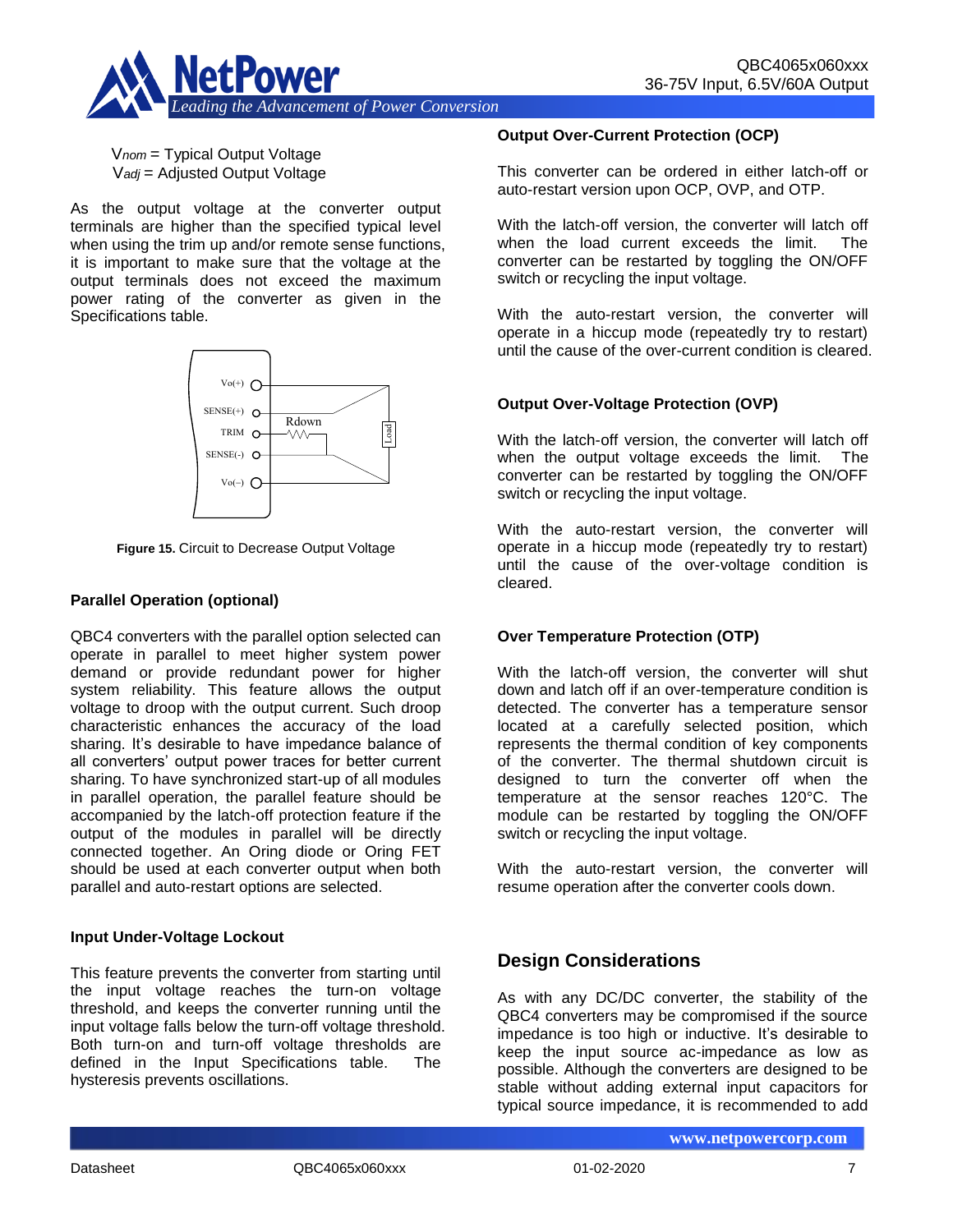

V*nom* = Typical Output Voltage V*adj* = Adjusted Output Voltage

As the output voltage at the converter output terminals are higher than the specified typical level when using the trim up and/or remote sense functions, it is important to make sure that the voltage at the output terminals does not exceed the maximum power rating of the converter as given in the Specifications table.



**Figure 15.** Circuit to Decrease Output Voltage

#### **Parallel Operation (optional)**

QBC4 converters with the parallel option selected can operate in parallel to meet higher system power demand or provide redundant power for higher system reliability. This feature allows the output voltage to droop with the output current. Such droop characteristic enhances the accuracy of the load sharing. It's desirable to have impedance balance of all converters' output power traces for better current sharing. To have synchronized start-up of all modules in parallel operation, the parallel feature should be accompanied by the latch-off protection feature if the output of the modules in parallel will be directly connected together. An Oring diode or Oring FET should be used at each converter output when both parallel and auto-restart options are selected.

#### **Input Under-Voltage Lockout**

This feature prevents the converter from starting until the input voltage reaches the turn-on voltage threshold, and keeps the converter running until the input voltage falls below the turn-off voltage threshold. Both turn-on and turn-off voltage thresholds are defined in the Input Specifications table. The hysteresis prevents oscillations.

#### **Output Over-Current Protection (OCP)**

This converter can be ordered in either latch-off or auto-restart version upon OCP, OVP, and OTP.

With the latch-off version, the converter will latch off when the load current exceeds the limit. The converter can be restarted by toggling the ON/OFF switch or recycling the input voltage.

With the auto-restart version, the converter will operate in a hiccup mode (repeatedly try to restart) until the cause of the over-current condition is cleared.

#### **Output Over-Voltage Protection (OVP)**

With the latch-off version, the converter will latch off when the output voltage exceeds the limit. The converter can be restarted by toggling the ON/OFF switch or recycling the input voltage.

With the auto-restart version, the converter will operate in a hiccup mode (repeatedly try to restart) until the cause of the over-voltage condition is cleared.

#### **Over Temperature Protection (OTP)**

With the latch-off version, the converter will shut down and latch off if an over-temperature condition is detected. The converter has a temperature sensor located at a carefully selected position, which represents the thermal condition of key components of the converter. The thermal shutdown circuit is designed to turn the converter off when the temperature at the sensor reaches 120°C. The module can be restarted by toggling the ON/OFF switch or recycling the input voltage.

With the auto-restart version, the converter will resume operation after the converter cools down.

# **Design Considerations**

As with any DC/DC converter, the stability of the QBC4 converters may be compromised if the source impedance is too high or inductive. It's desirable to keep the input source ac-impedance as low as possible. Although the converters are designed to be stable without adding external input capacitors for typical source impedance, it is recommended to add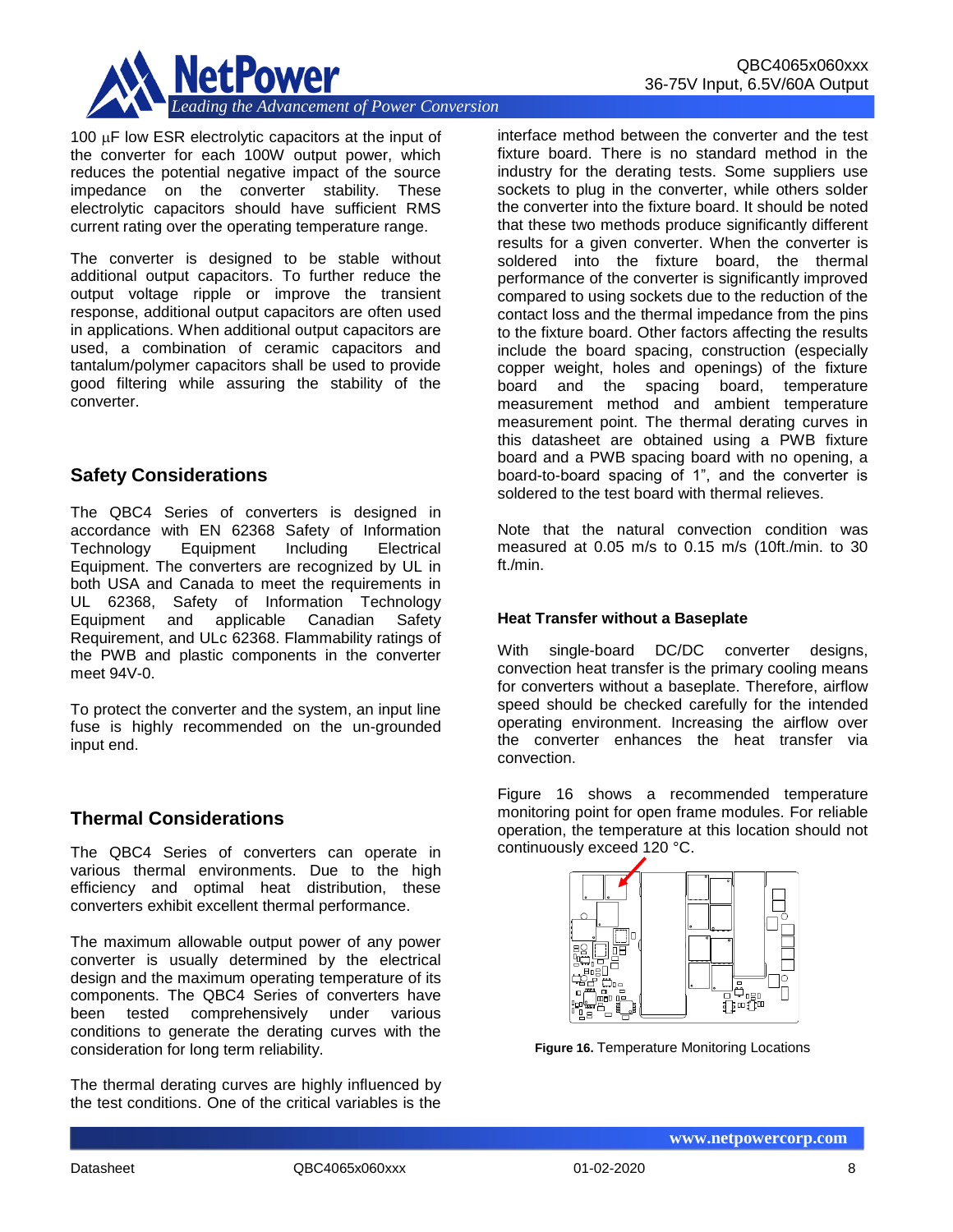

100  $\mu$ F low ESR electrolytic capacitors at the input of the converter for each 100W output power, which reduces the potential negative impact of the source impedance on the converter stability. These electrolytic capacitors should have sufficient RMS current rating over the operating temperature range.

The converter is designed to be stable without additional output capacitors. To further reduce the output voltage ripple or improve the transient response, additional output capacitors are often used in applications. When additional output capacitors are used, a combination of ceramic capacitors and tantalum/polymer capacitors shall be used to provide good filtering while assuring the stability of the converter.

## **Safety Considerations**

The QBC4 Series of converters is designed in accordance with EN 62368 Safety of Information Technology Equipment Including Electrical Equipment. The converters are recognized by UL in both USA and Canada to meet the requirements in UL 62368, Safety of Information Technology Equipment and applicable Canadian Safety Requirement, and ULc 62368. Flammability ratings of the PWB and plastic components in the converter meet 94V-0.

To protect the converter and the system, an input line fuse is highly recommended on the un-grounded input end.

# **Thermal Considerations**

The QBC4 Series of converters can operate in various thermal environments. Due to the high efficiency and optimal heat distribution, these converters exhibit excellent thermal performance.

The maximum allowable output power of any power converter is usually determined by the electrical design and the maximum operating temperature of its components. The QBC4 Series of converters have been tested comprehensively under various conditions to generate the derating curves with the consideration for long term reliability.

The thermal derating curves are highly influenced by the test conditions. One of the critical variables is the

interface method between the converter and the test fixture board. There is no standard method in the industry for the derating tests. Some suppliers use sockets to plug in the converter, while others solder the converter into the fixture board. It should be noted that these two methods produce significantly different results for a given converter. When the converter is soldered into the fixture board, the thermal performance of the converter is significantly improved compared to using sockets due to the reduction of the contact loss and the thermal impedance from the pins to the fixture board. Other factors affecting the results include the board spacing, construction (especially copper weight, holes and openings) of the fixture board and the spacing board, temperature measurement method and ambient temperature measurement point. The thermal derating curves in this datasheet are obtained using a PWB fixture board and a PWB spacing board with no opening, a board-to-board spacing of 1", and the converter is soldered to the test board with thermal relieves.

Note that the natural convection condition was measured at 0.05 m/s to 0.15 m/s (10ft./min. to 30 ft./min.

#### **Heat Transfer without a Baseplate**

With single-board DC/DC converter designs, convection heat transfer is the primary cooling means for converters without a baseplate. Therefore, airflow speed should be checked carefully for the intended operating environment. Increasing the airflow over the converter enhances the heat transfer via convection.

Figure 16 shows a recommended temperature monitoring point for open frame modules. For reliable operation, the temperature at this location should not continuously exceed 120 °C.



**Figure 16.** Temperature Monitoring Locations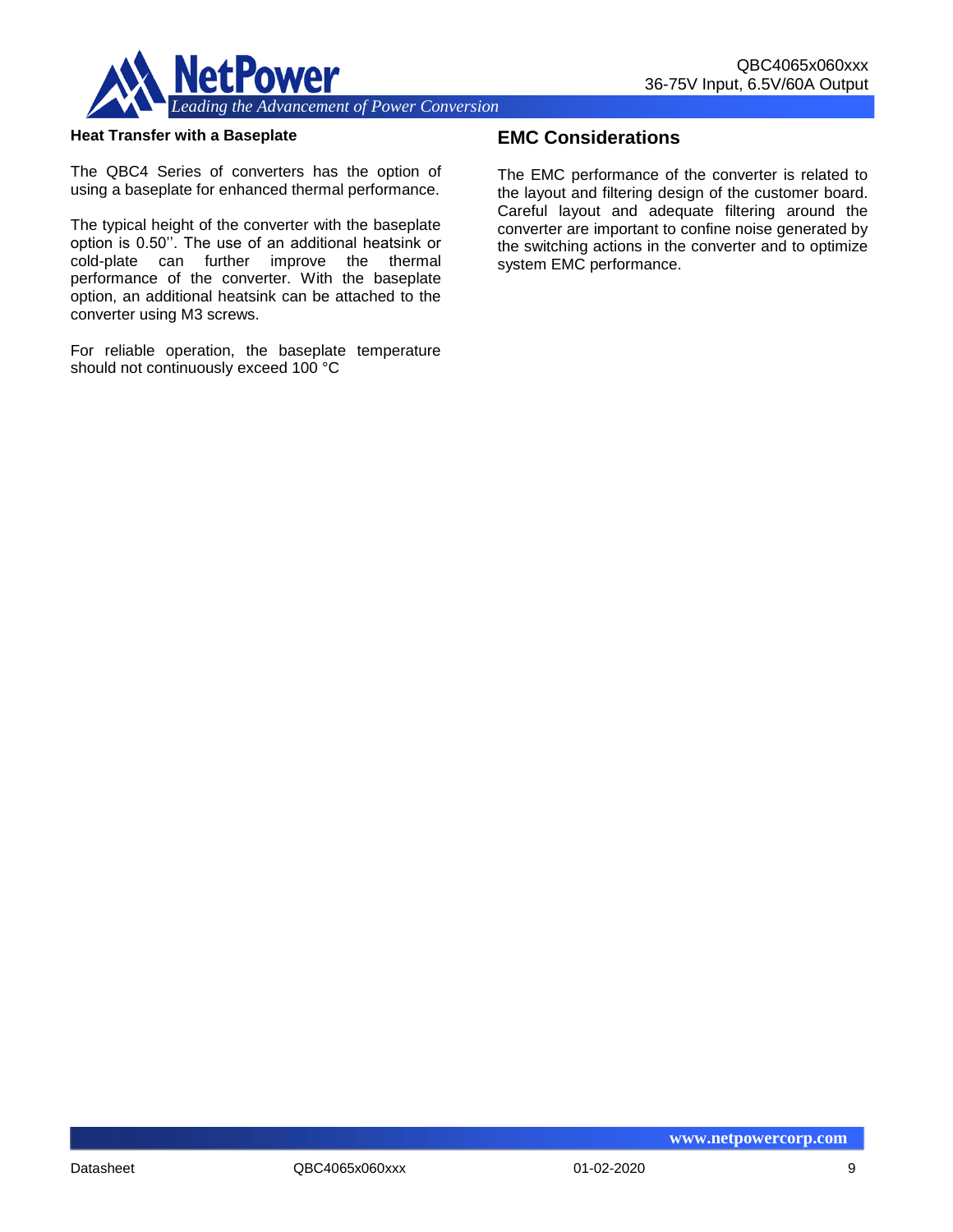

#### **Heat Transfer with a Baseplate**

The QBC4 Series of converters has the option of using a baseplate for enhanced thermal performance.

The typical height of the converter with the baseplate option is 0.50''. The use of an additional heatsink or cold-plate can further improve the thermal performance of the converter. With the baseplate option, an additional heatsink can be attached to the converter using M3 screws.

For reliable operation, the baseplate temperature should not continuously exceed 100 °C

## **EMC Considerations**

The EMC performance of the converter is related to the layout and filtering design of the customer board. Careful layout and adequate filtering around the converter are important to confine noise generated by the switching actions in the converter and to optimize system EMC performance.